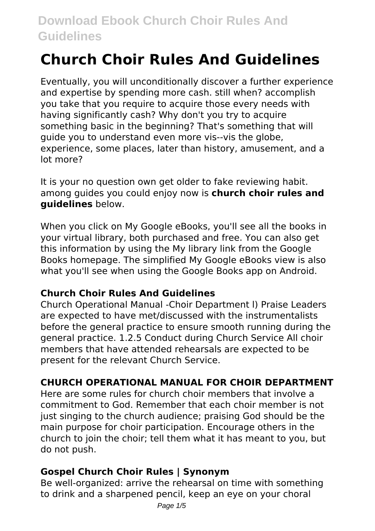# **Church Choir Rules And Guidelines**

Eventually, you will unconditionally discover a further experience and expertise by spending more cash. still when? accomplish you take that you require to acquire those every needs with having significantly cash? Why don't you try to acquire something basic in the beginning? That's something that will guide you to understand even more vis--vis the globe, experience, some places, later than history, amusement, and a lot more?

It is your no question own get older to fake reviewing habit. among guides you could enjoy now is **church choir rules and guidelines** below.

When you click on My Google eBooks, you'll see all the books in your virtual library, both purchased and free. You can also get this information by using the My library link from the Google Books homepage. The simplified My Google eBooks view is also what you'll see when using the Google Books app on Android.

# **Church Choir Rules And Guidelines**

Church Operational Manual -Choir Department l) Praise Leaders are expected to have met/discussed with the instrumentalists before the general practice to ensure smooth running during the general practice. 1.2.5 Conduct during Church Service All choir members that have attended rehearsals are expected to be present for the relevant Church Service.

# **CHURCH OPERATIONAL MANUAL FOR CHOIR DEPARTMENT**

Here are some rules for church choir members that involve a commitment to God. Remember that each choir member is not just singing to the church audience; praising God should be the main purpose for choir participation. Encourage others in the church to join the choir; tell them what it has meant to you, but do not push.

# **Gospel Church Choir Rules | Synonym**

Be well-organized: arrive the rehearsal on time with something to drink and a sharpened pencil, keep an eye on your choral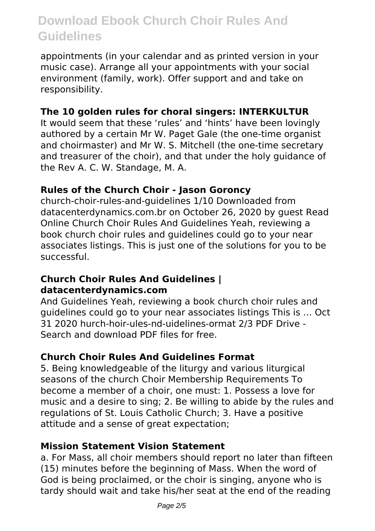appointments (in your calendar and as printed version in your music case). Arrange all your appointments with your social environment (family, work). Offer support and and take on responsibility.

#### **The 10 golden rules for choral singers: INTERKULTUR**

It would seem that these 'rules' and 'hints' have been lovingly authored by a certain Mr W. Paget Gale (the one-time organist and choirmaster) and Mr W. S. Mitchell (the one-time secretary and treasurer of the choir), and that under the holy guidance of the Rev A. C. W. Standage, M. A.

#### **Rules of the Church Choir - Jason Goroncy**

church-choir-rules-and-guidelines 1/10 Downloaded from datacenterdynamics.com.br on October 26, 2020 by guest Read Online Church Choir Rules And Guidelines Yeah, reviewing a book church choir rules and guidelines could go to your near associates listings. This is just one of the solutions for you to be successful.

#### **Church Choir Rules And Guidelines | datacenterdynamics.com**

And Guidelines Yeah, reviewing a book church choir rules and guidelines could go to your near associates listings This is … Oct 31 2020 hurch-hoir-ules-nd-uidelines-ormat 2/3 PDF Drive - Search and download PDF files for free.

#### **Church Choir Rules And Guidelines Format**

5. Being knowledgeable of the liturgy and various liturgical seasons of the church Choir Membership Requirements To become a member of a choir, one must: 1. Possess a love for music and a desire to sing; 2. Be willing to abide by the rules and regulations of St. Louis Catholic Church; 3. Have a positive attitude and a sense of great expectation;

#### **Mission Statement Vision Statement**

a. For Mass, all choir members should report no later than fifteen (15) minutes before the beginning of Mass. When the word of God is being proclaimed, or the choir is singing, anyone who is tardy should wait and take his/her seat at the end of the reading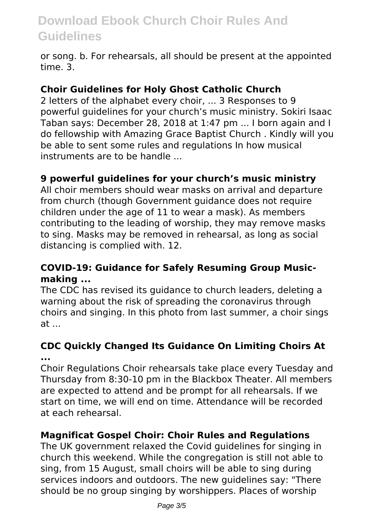or song. b. For rehearsals, all should be present at the appointed time. 3.

#### **Choir Guidelines for Holy Ghost Catholic Church**

2 letters of the alphabet every choir, ... 3 Responses to 9 powerful guidelines for your church's music ministry. Sokiri Isaac Taban says: December 28, 2018 at 1:47 pm ... I born again and I do fellowship with Amazing Grace Baptist Church . Kindly will you be able to sent some rules and regulations In how musical instruments are to be handle ...

#### **9 powerful guidelines for your church's music ministry**

All choir members should wear masks on arrival and departure from church (though Government guidance does not require children under the age of 11 to wear a mask). As members contributing to the leading of worship, they may remove masks to sing. Masks may be removed in rehearsal, as long as social distancing is complied with. 12.

### **COVID-19: Guidance for Safely Resuming Group Musicmaking ...**

The CDC has revised its guidance to church leaders, deleting a warning about the risk of spreading the coronavirus through choirs and singing. In this photo from last summer, a choir sings at ...

### **CDC Quickly Changed Its Guidance On Limiting Choirs At ...**

Choir Regulations Choir rehearsals take place every Tuesday and Thursday from 8:30-10 pm in the Blackbox Theater. All members are expected to attend and be prompt for all rehearsals. If we start on time, we will end on time. Attendance will be recorded at each rehearsal.

#### **Magnificat Gospel Choir: Choir Rules and Regulations**

The UK government relaxed the Covid guidelines for singing in church this weekend. While the congregation is still not able to sing, from 15 August, small choirs will be able to sing during services indoors and outdoors. The new guidelines say: "There should be no group singing by worshippers. Places of worship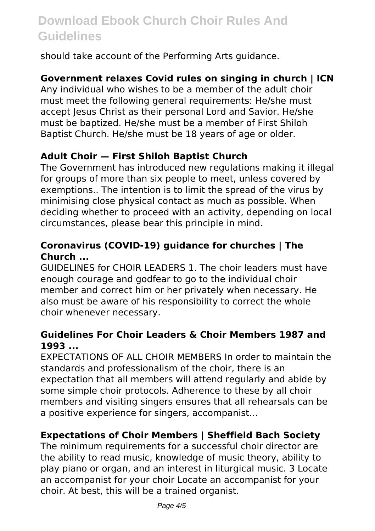should take account of the Performing Arts guidance.

### **Government relaxes Covid rules on singing in church | ICN**

Any individual who wishes to be a member of the adult choir must meet the following general requirements: He/she must accept Jesus Christ as their personal Lord and Savior. He/she must be baptized. He/she must be a member of First Shiloh Baptist Church. He/she must be 18 years of age or older.

### **Adult Choir — First Shiloh Baptist Church**

The Government has introduced new regulations making it illegal for groups of more than six people to meet, unless covered by exemptions.. The intention is to limit the spread of the virus by minimising close physical contact as much as possible. When deciding whether to proceed with an activity, depending on local circumstances, please bear this principle in mind.

### **Coronavirus (COVID-19) guidance for churches | The Church ...**

GUIDELINES for CHOIR LEADERS 1. The choir leaders must have enough courage and godfear to go to the individual choir member and correct him or her privately when necessary. He also must be aware of his responsibility to correct the whole choir whenever necessary.

#### **Guidelines For Choir Leaders & Choir Members 1987 and 1993 ...**

EXPECTATIONS OF ALL CHOIR MEMBERS In order to maintain the standards and professionalism of the choir, there is an expectation that all members will attend regularly and abide by some simple choir protocols. Adherence to these by all choir members and visiting singers ensures that all rehearsals can be a positive experience for singers, accompanist…

### **Expectations of Choir Members | Sheffield Bach Society**

The minimum requirements for a successful choir director are the ability to read music, knowledge of music theory, ability to play piano or organ, and an interest in liturgical music. 3 Locate an accompanist for your choir Locate an accompanist for your choir. At best, this will be a trained organist.